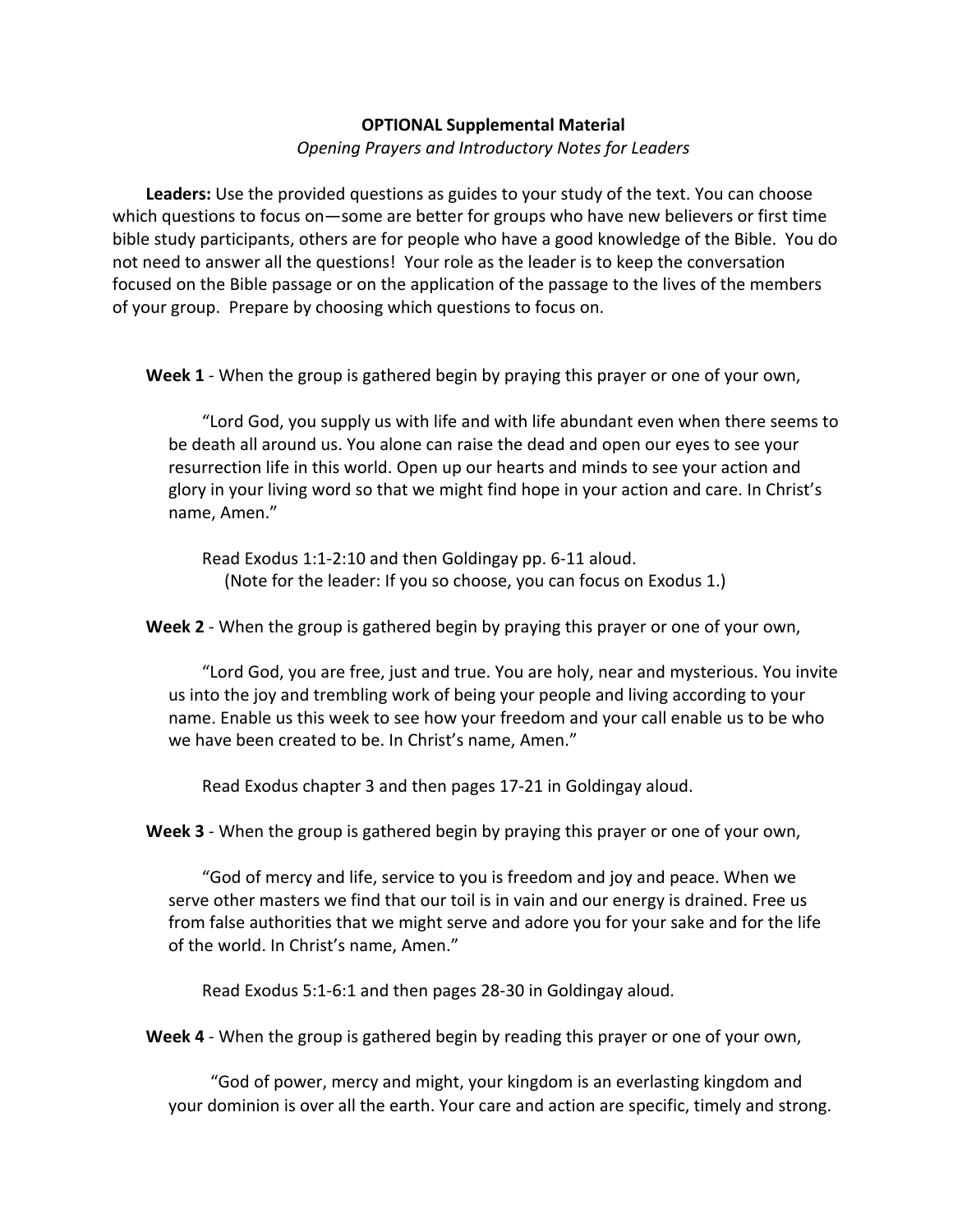## **OPTIONAL Supplemental Material**

*Opening Prayers and Introductory Notes for Leaders*

**Leaders:** Use the provided questions as guides to your study of the text. You can choose which questions to focus on—some are better for groups who have new believers or first time bible study participants, others are for people who have a good knowledge of the Bible. You do not need to answer all the questions! Your role as the leader is to keep the conversation focused on the Bible passage or on the application of the passage to the lives of the members of your group. Prepare by choosing which questions to focus on.

**Week 1** - When the group is gathered begin by praying this prayer or one of your own,

"Lord God, you supply us with life and with life abundant even when there seems to be death all around us. You alone can raise the dead and open our eyes to see your resurrection life in this world. Open up our hearts and minds to see your action and glory in your living word so that we might find hope in your action and care. In Christ's name, Amen."

Read Exodus 1:1-2:10 and then Goldingay pp. 6-11 aloud. (Note for the leader: If you so choose, you can focus on Exodus 1.)

**Week 2** - When the group is gathered begin by praying this prayer or one of your own,

"Lord God, you are free, just and true. You are holy, near and mysterious. You invite us into the joy and trembling work of being your people and living according to your name. Enable us this week to see how your freedom and your call enable us to be who we have been created to be. In Christ's name, Amen."

Read Exodus chapter 3 and then pages 17-21 in Goldingay aloud.

Week 3 - When the group is gathered begin by praying this prayer or one of your own,

"God of mercy and life, service to you is freedom and joy and peace. When we serve other masters we find that our toil is in vain and our energy is drained. Free us from false authorities that we might serve and adore you for your sake and for the life of the world. In Christ's name, Amen."

Read Exodus 5:1-6:1 and then pages 28-30 in Goldingay aloud.

**Week 4** - When the group is gathered begin by reading this prayer or one of your own,

"God of power, mercy and might, your kingdom is an everlasting kingdom and your dominion is over all the earth. Your care and action are specific, timely and strong.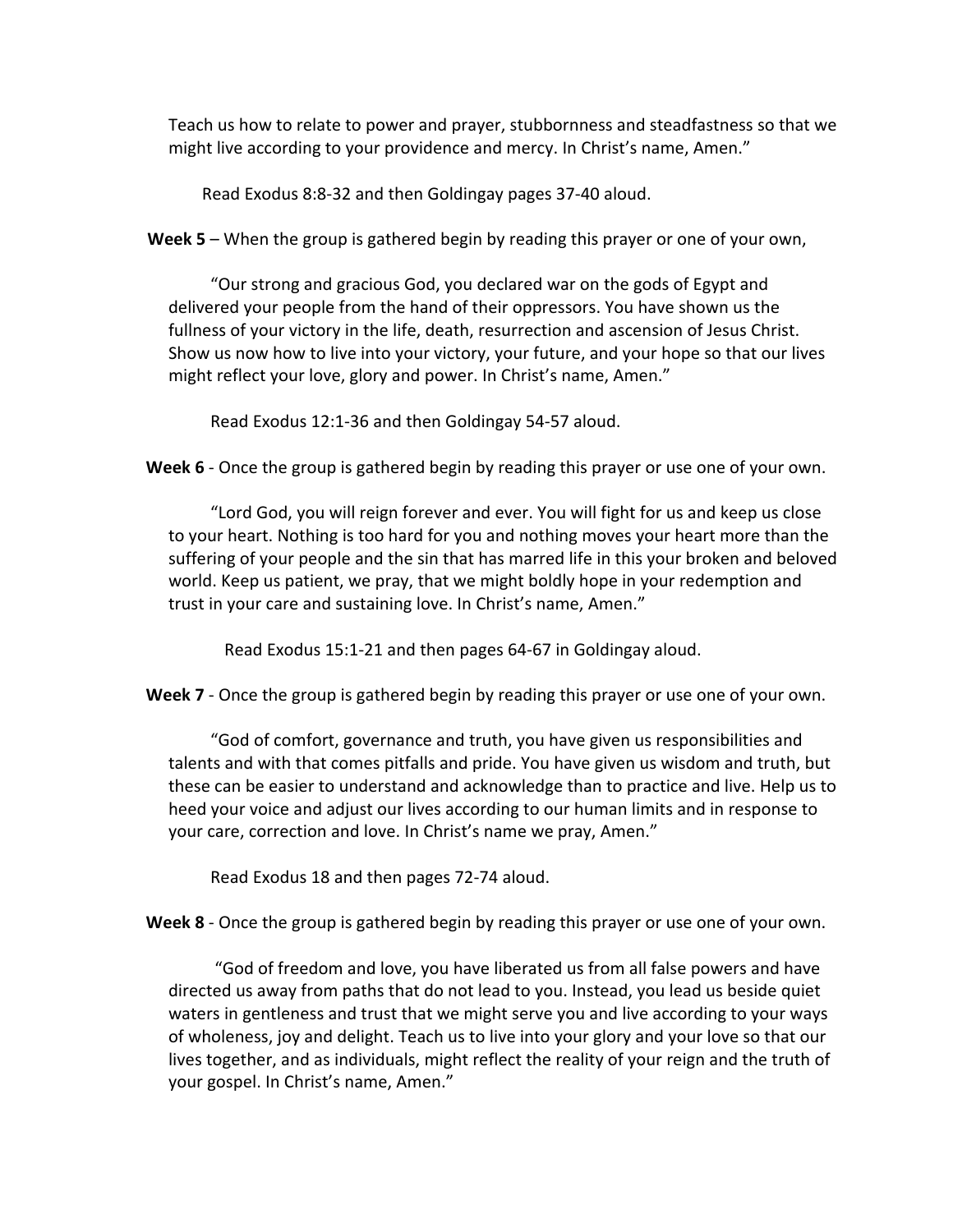Teach us how to relate to power and prayer, stubbornness and steadfastness so that we might live according to your providence and mercy. In Christ's name, Amen."

Read Exodus 8:8-32 and then Goldingay pages 37-40 aloud.

**Week 5** – When the group is gathered begin by reading this prayer or one of your own,

"Our strong and gracious God, you declared war on the gods of Egypt and delivered your people from the hand of their oppressors. You have shown us the fullness of your victory in the life, death, resurrection and ascension of Jesus Christ. Show us now how to live into your victory, your future, and your hope so that our lives might reflect your love, glory and power. In Christ's name, Amen."

Read Exodus 12:1-36 and then Goldingay 54-57 aloud.

**Week 6** - Once the group is gathered begin by reading this prayer or use one of your own.

"Lord God, you will reign forever and ever. You will fight for us and keep us close to your heart. Nothing is too hard for you and nothing moves your heart more than the suffering of your people and the sin that has marred life in this your broken and beloved world. Keep us patient, we pray, that we might boldly hope in your redemption and trust in your care and sustaining love. In Christ's name, Amen."

Read Exodus 15:1-21 and then pages 64-67 in Goldingay aloud.

**Week 7** - Once the group is gathered begin by reading this prayer or use one of your own.

"God of comfort, governance and truth, you have given us responsibilities and talents and with that comes pitfalls and pride. You have given us wisdom and truth, but these can be easier to understand and acknowledge than to practice and live. Help us to heed your voice and adjust our lives according to our human limits and in response to your care, correction and love. In Christ's name we pray, Amen."

Read Exodus 18 and then pages 72-74 aloud.

**Week 8** - Once the group is gathered begin by reading this prayer or use one of your own.

"God of freedom and love, you have liberated us from all false powers and have directed us away from paths that do not lead to you. Instead, you lead us beside quiet waters in gentleness and trust that we might serve you and live according to your ways of wholeness, joy and delight. Teach us to live into your glory and your love so that our lives together, and as individuals, might reflect the reality of your reign and the truth of your gospel. In Christ's name, Amen."